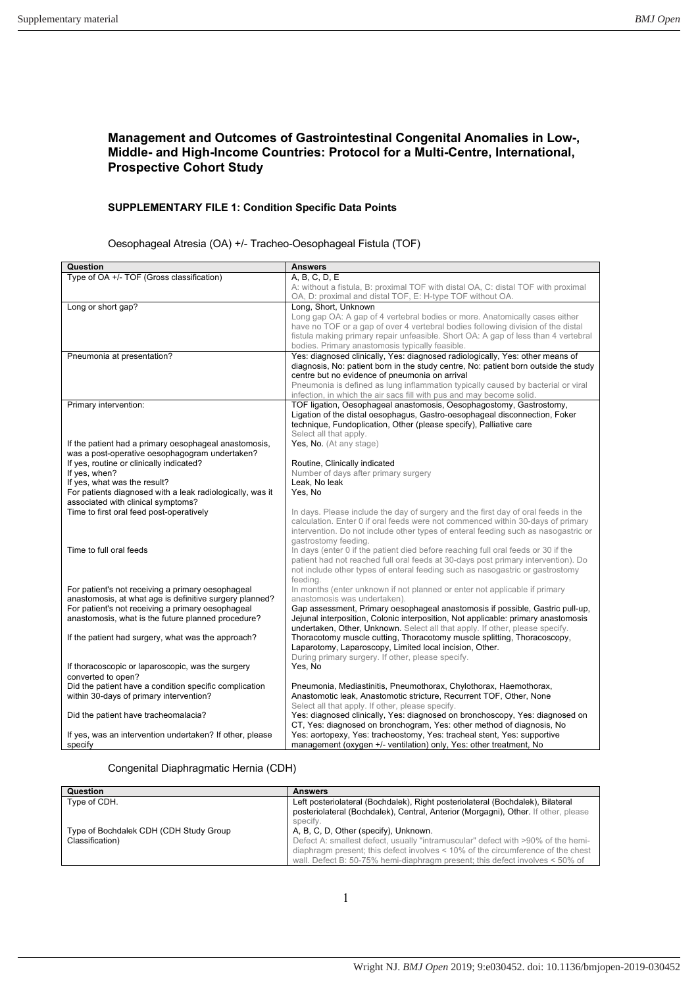## **Management and Outcomes of Gastrointestinal Congenital Anomalies in Low-, Middle- and High-Income Countries: Protocol for a Multi-Centre, International, Prospective Cohort Study**

### **SUPPLEMENTARY FILE 1: Condition Specific Data Points**

Oesophageal Atresia (OA) +/- Tracheo-Oesophageal Fistula (TOF)

| Question                                                                     | <b>Answers</b>                                                                               |
|------------------------------------------------------------------------------|----------------------------------------------------------------------------------------------|
| Type of OA +/- TOF (Gross classification)                                    | A, B, C, D, E                                                                                |
|                                                                              | A: without a fistula, B: proximal TOF with distal OA, C: distal TOF with proximal            |
|                                                                              | OA, D: proximal and distal TOF, E: H-type TOF without OA.                                    |
| Long or short gap?                                                           | Long, Short, Unknown                                                                         |
|                                                                              | Long gap OA: A gap of 4 vertebral bodies or more. Anatomically cases either                  |
|                                                                              | have no TOF or a gap of over 4 vertebral bodies following division of the distal             |
|                                                                              | fistula making primary repair unfeasible. Short OA: A gap of less than 4 vertebral           |
|                                                                              | bodies. Primary anastomosis typically feasible.                                              |
| Pneumonia at presentation?                                                   | Yes: diagnosed clinically, Yes: diagnosed radiologically, Yes: other means of                |
|                                                                              | diagnosis, No: patient born in the study centre, No: patient born outside the study          |
|                                                                              | centre but no evidence of pneumonia on arrival                                               |
|                                                                              | Pneumonia is defined as lung inflammation typically caused by bacterial or viral             |
|                                                                              | infection, in which the air sacs fill with pus and may become solid.                         |
| Primary intervention:                                                        | TOF ligation, Oesophageal anastomosis, Oesophagostomy, Gastrostomy,                          |
|                                                                              | Ligation of the distal oesophagus, Gastro-oesophageal disconnection, Foker                   |
|                                                                              | technique, Fundoplication, Other (please specify), Palliative care<br>Select all that apply. |
| If the patient had a primary oesophageal anastomosis,                        | Yes, No. (At any stage)                                                                      |
| was a post-operative oesophagogram undertaken?                               |                                                                                              |
| If yes, routine or clinically indicated?                                     | Routine, Clinically indicated                                                                |
| If yes, when?                                                                | Number of days after primary surgery                                                         |
| If yes, what was the result?                                                 | Leak, No leak                                                                                |
| For patients diagnosed with a leak radiologically, was it                    | Yes, No                                                                                      |
| associated with clinical symptoms?                                           |                                                                                              |
| Time to first oral feed post-operatively                                     | In days. Please include the day of surgery and the first day of oral feeds in the            |
|                                                                              | calculation. Enter 0 if oral feeds were not commenced within 30-days of primary              |
|                                                                              | intervention. Do not include other types of enteral feeding such as nasogastric or           |
|                                                                              | gastrostomy feeding.                                                                         |
| Time to full oral feeds                                                      | In days (enter 0 if the patient died before reaching full oral feeds or 30 if the            |
|                                                                              | patient had not reached full oral feeds at 30-days post primary intervention). Do            |
|                                                                              | not include other types of enteral feeding such as nasogastric or gastrostomy                |
|                                                                              | feeding.                                                                                     |
| For patient's not receiving a primary oesophageal                            | In months (enter unknown if not planned or enter not applicable if primary                   |
| anastomosis, at what age is definitive surgery planned?                      | anastomosis was undertaken).                                                                 |
| For patient's not receiving a primary oesophageal                            | Gap assessment, Primary oesophageal anastomosis if possible, Gastric pull-up,                |
| anastomosis, what is the future planned procedure?                           | Jejunal interposition, Colonic interposition, Not applicable: primary anastomosis            |
|                                                                              | undertaken, Other, Unknown. Select all that apply. If other, please specify.                 |
| If the patient had surgery, what was the approach?                           | Thoracotomy muscle cutting, Thoracotomy muscle splitting, Thoracoscopy,                      |
|                                                                              | Laparotomy, Laparoscopy, Limited local incision, Other.                                      |
|                                                                              | During primary surgery. If other, please specify.                                            |
| If thoracoscopic or laparoscopic, was the surgery                            | Yes, No                                                                                      |
| converted to open?<br>Did the patient have a condition specific complication | Pneumonia, Mediastinitis, Pneumothorax, Chylothorax, Haemothorax,                            |
| within 30-days of primary intervention?                                      | Anastomotic leak, Anastomotic stricture, Recurrent TOF, Other, None                          |
|                                                                              | Select all that apply. If other, please specify.                                             |
| Did the patient have tracheomalacia?                                         | Yes: diagnosed clinically, Yes: diagnosed on bronchoscopy, Yes: diagnosed on                 |
|                                                                              | CT, Yes: diagnosed on bronchogram, Yes: other method of diagnosis, No                        |
| If yes, was an intervention undertaken? If other, please                     | Yes: aortopexy, Yes: tracheostomy, Yes: tracheal stent, Yes: supportive                      |
| specify                                                                      | management (oxygen +/- ventilation) only, Yes: other treatment, No                           |

#### Congenital Diaphragmatic Hernia (CDH)

| Question                               | <b>Answers</b>                                                                                                                                                       |
|----------------------------------------|----------------------------------------------------------------------------------------------------------------------------------------------------------------------|
| Type of CDH.                           | Left posteriolateral (Bochdalek), Right posteriolateral (Bochdalek), Bilateral<br>posteriolateral (Bochdalek), Central, Anterior (Morgagni), Other. If other, please |
|                                        | specify.                                                                                                                                                             |
| Type of Bochdalek CDH (CDH Study Group | A, B, C, D, Other (specify), Unknown.                                                                                                                                |
| Classification)                        | Defect A: smallest defect, usually "intramuscular" defect with >90% of the hemi-                                                                                     |
|                                        | diaphragm present; this defect involves < 10% of the circumference of the chest                                                                                      |
|                                        | wall. Defect B: 50-75% hemi-diaphragm present; this defect involves < 50% of                                                                                         |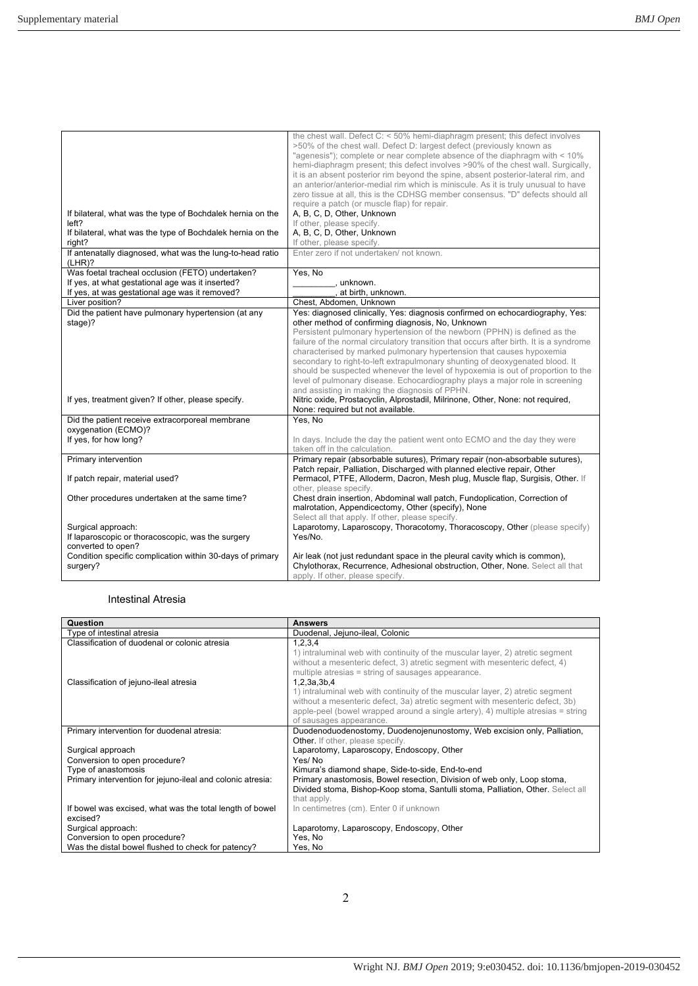| If bilateral, what was the type of Bochdalek hernia on the                                                                                             | the chest wall. Defect C: < 50% hemi-diaphragm present; this defect involves<br>>50% of the chest wall. Defect D: largest defect (previously known as<br>"agenesis"); complete or near complete absence of the diaphragm with < 10%<br>hemi-diaphragm present; this defect involves >90% of the chest wall. Surgically,<br>it is an absent posterior rim beyond the spine, absent posterior-lateral rim, and<br>an anterior/anterior-medial rim which is miniscule. As it is truly unusual to have<br>zero tissue at all, this is the CDHSG member consensus. "D" defects should all<br>require a patch (or muscle flap) for repair.<br>A, B, C, D, Other, Unknown                     |
|--------------------------------------------------------------------------------------------------------------------------------------------------------|----------------------------------------------------------------------------------------------------------------------------------------------------------------------------------------------------------------------------------------------------------------------------------------------------------------------------------------------------------------------------------------------------------------------------------------------------------------------------------------------------------------------------------------------------------------------------------------------------------------------------------------------------------------------------------------|
| left?<br>If bilateral, what was the type of Bochdalek hernia on the<br>right?                                                                          | If other, please specify.<br>A, B, C, D, Other, Unknown<br>If other, please specify.                                                                                                                                                                                                                                                                                                                                                                                                                                                                                                                                                                                                   |
| If antenatally diagnosed, what was the lung-to-head ratio<br>(LHR)?                                                                                    | Enter zero if not undertaken/ not known.                                                                                                                                                                                                                                                                                                                                                                                                                                                                                                                                                                                                                                               |
| Was foetal tracheal occlusion (FETO) undertaken?<br>If yes, at what gestational age was it inserted?<br>If yes, at was gestational age was it removed? | Yes, No<br>unknown.<br>, at birth, unknown.                                                                                                                                                                                                                                                                                                                                                                                                                                                                                                                                                                                                                                            |
| Liver position?                                                                                                                                        | Chest. Abdomen. Unknown                                                                                                                                                                                                                                                                                                                                                                                                                                                                                                                                                                                                                                                                |
| Did the patient have pulmonary hypertension (at any<br>stage)?                                                                                         | Yes: diagnosed clinically, Yes: diagnosis confirmed on echocardiography, Yes:<br>other method of confirming diagnosis, No, Unknown<br>Persistent pulmonary hypertension of the newborn (PPHN) is defined as the<br>failure of the normal circulatory transition that occurs after birth. It is a syndrome<br>characterised by marked pulmonary hypertension that causes hypoxemia<br>secondary to right-to-left extrapulmonary shunting of deoxygenated blood. It<br>should be suspected whenever the level of hypoxemia is out of proportion to the<br>level of pulmonary disease. Echocardiography plays a major role in screening<br>and assisting in making the diagnosis of PPHN. |
| If yes, treatment given? If other, please specify.                                                                                                     | Nitric oxide, Prostacyclin, Alprostadil, Milrinone, Other, None: not required,<br>None: required but not available.                                                                                                                                                                                                                                                                                                                                                                                                                                                                                                                                                                    |
| Did the patient receive extracorporeal membrane<br>oxygenation (ECMO)?                                                                                 | Yes, No                                                                                                                                                                                                                                                                                                                                                                                                                                                                                                                                                                                                                                                                                |
| If yes, for how long?                                                                                                                                  | In days. Include the day the patient went onto ECMO and the day they were<br>taken off in the calculation.                                                                                                                                                                                                                                                                                                                                                                                                                                                                                                                                                                             |
| Primary intervention<br>If patch repair, material used?                                                                                                | Primary repair (absorbable sutures), Primary repair (non-absorbable sutures),<br>Patch repair, Palliation, Discharged with planned elective repair, Other<br>Permacol, PTFE, Alloderm, Dacron, Mesh plug, Muscle flap, Surgisis, Other. If<br>other, please specify.                                                                                                                                                                                                                                                                                                                                                                                                                   |
| Other procedures undertaken at the same time?                                                                                                          | Chest drain insertion, Abdominal wall patch, Fundoplication, Correction of<br>malrotation, Appendicectomy, Other (specify), None<br>Select all that apply. If other, please specify.                                                                                                                                                                                                                                                                                                                                                                                                                                                                                                   |
| Surgical approach:<br>If laparoscopic or thoracoscopic, was the surgery<br>converted to open?                                                          | Laparotomy, Laparoscopy, Thoracotomy, Thoracoscopy, Other (please specify)<br>Yes/No.                                                                                                                                                                                                                                                                                                                                                                                                                                                                                                                                                                                                  |
| Condition specific complication within 30-days of primary<br>surgery?                                                                                  | Air leak (not just redundant space in the pleural cavity which is common),<br>Chylothorax, Recurrence, Adhesional obstruction, Other, None. Select all that<br>apply. If other, please specify.                                                                                                                                                                                                                                                                                                                                                                                                                                                                                        |

# Intestinal Atresia

| Question                                                             | <b>Answers</b>                                                                                                                                                                                                                                                                                                                                                                                                                                                                                                      |
|----------------------------------------------------------------------|---------------------------------------------------------------------------------------------------------------------------------------------------------------------------------------------------------------------------------------------------------------------------------------------------------------------------------------------------------------------------------------------------------------------------------------------------------------------------------------------------------------------|
| Type of intestinal atresia                                           | Duodenal, Jejuno-ileal, Colonic                                                                                                                                                                                                                                                                                                                                                                                                                                                                                     |
| Classification of duodenal or colonic atresia                        | 1,2,3,4                                                                                                                                                                                                                                                                                                                                                                                                                                                                                                             |
| Classification of jejuno-ileal atresia                               | 1) intraluminal web with continuity of the muscular layer, 2) atretic segment<br>without a mesenteric defect, 3) atretic segment with mesenteric defect, 4)<br>multiple atresias = string of sausages appearance.<br>1,2,3a,3b,4<br>1) intraluminal web with continuity of the muscular layer, 2) atretic segment<br>without a mesenteric defect, 3a) atretic segment with mesenteric defect, 3b)<br>apple-peel (bowel wrapped around a single artery), $4$ ) multiple atresias = string<br>of sausages appearance. |
| Primary intervention for duodenal atresia:                           | Duodenoduodenostomy, Duodenojenunostomy, Web excision only, Palliation,                                                                                                                                                                                                                                                                                                                                                                                                                                             |
|                                                                      | <b>Other.</b> If other, please specify.                                                                                                                                                                                                                                                                                                                                                                                                                                                                             |
| Surgical approach                                                    | Laparotomy, Laparoscopy, Endoscopy, Other                                                                                                                                                                                                                                                                                                                                                                                                                                                                           |
| Conversion to open procedure?                                        | Yes/No                                                                                                                                                                                                                                                                                                                                                                                                                                                                                                              |
| Type of anastomosis                                                  | Kimura's diamond shape, Side-to-side, End-to-end                                                                                                                                                                                                                                                                                                                                                                                                                                                                    |
| Primary intervention for jejuno-ileal and colonic atresia:           | Primary anastomosis, Bowel resection, Division of web only, Loop stoma,                                                                                                                                                                                                                                                                                                                                                                                                                                             |
|                                                                      | Divided stoma, Bishop-Koop stoma, Santulli stoma, Palliation, Other. Select all<br>that apply.                                                                                                                                                                                                                                                                                                                                                                                                                      |
| If bowel was excised, what was the total length of bowel<br>excised? | In centimetres (cm). Enter 0 if unknown                                                                                                                                                                                                                                                                                                                                                                                                                                                                             |
| Surgical approach:                                                   | Laparotomy, Laparoscopy, Endoscopy, Other                                                                                                                                                                                                                                                                                                                                                                                                                                                                           |
| Conversion to open procedure?                                        | Yes, No                                                                                                                                                                                                                                                                                                                                                                                                                                                                                                             |
| Was the distal bowel flushed to check for patency?                   | Yes, No                                                                                                                                                                                                                                                                                                                                                                                                                                                                                                             |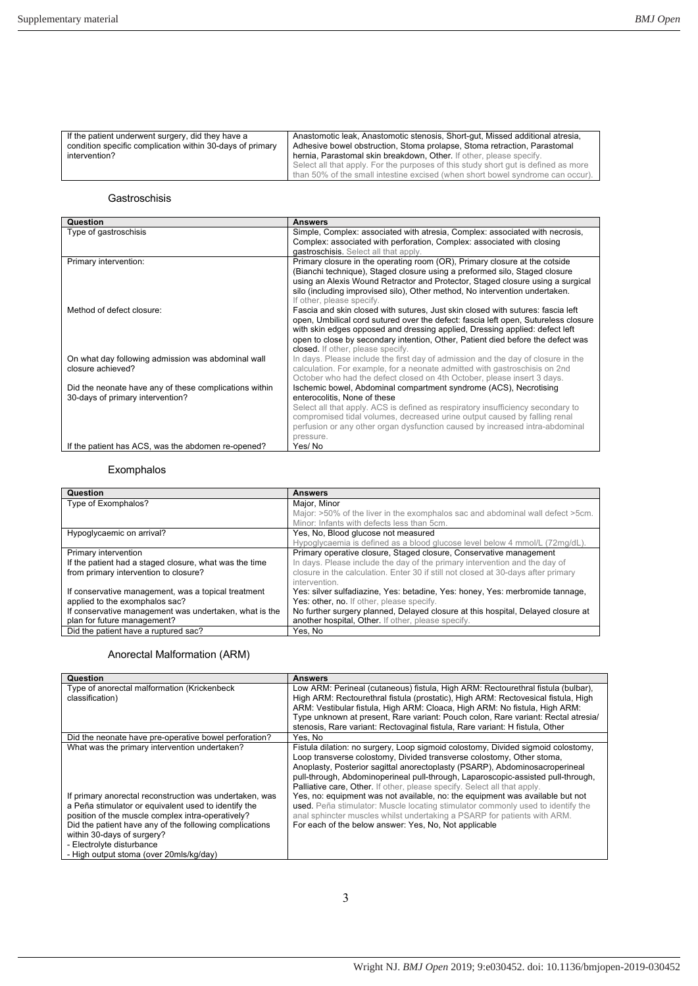| If the patient underwent surgery, did they have a         | Anastomotic leak, Anastomotic stenosis, Short-qut, Missed additional atresia,                                                                                        |
|-----------------------------------------------------------|----------------------------------------------------------------------------------------------------------------------------------------------------------------------|
| condition specific complication within 30-days of primary | Adhesive bowel obstruction, Stoma prolapse, Stoma retraction, Parastomal                                                                                             |
| intervention?                                             | hernia. Parastomal skin breakdown. Other. If other, please specify.                                                                                                  |
|                                                           | Select all that apply. For the purposes of this study short gut is defined as more<br>than 50% of the small intestine excised (when short bowel syndrome can occur). |

#### Gastroschisis

| Question                                               | <b>Answers</b>                                                                                                                                                 |
|--------------------------------------------------------|----------------------------------------------------------------------------------------------------------------------------------------------------------------|
| Type of gastroschisis                                  | Simple, Complex: associated with atresia, Complex: associated with necrosis,<br>Complex: associated with perforation, Complex: associated with closing         |
|                                                        | gastroschisis. Select all that apply.                                                                                                                          |
| Primary intervention:                                  | Primary closure in the operating room (OR), Primary closure at the cotside                                                                                     |
|                                                        | (Bianchi technique), Staged closure using a preformed silo, Staged closure                                                                                     |
|                                                        | using an Alexis Wound Retractor and Protector, Staged closure using a surgical<br>silo (including improvised silo), Other method, No intervention undertaken.  |
|                                                        | If other, please specify.                                                                                                                                      |
| Method of defect closure:                              | Fascia and skin closed with sutures, Just skin closed with sutures: fascia left                                                                                |
|                                                        | open, Umbilical cord sutured over the defect: fascia left open, Sutureless closure                                                                             |
|                                                        | with skin edges opposed and dressing applied, Dressing applied: defect left<br>open to close by secondary intention, Other, Patient died before the defect was |
|                                                        | closed. If other, please specify.                                                                                                                              |
| On what day following admission was abdominal wall     | In days. Please include the first day of admission and the day of closure in the                                                                               |
| closure achieved?                                      | calculation. For example, for a neonate admitted with gastroschisis on 2nd                                                                                     |
|                                                        | October who had the defect closed on 4th October, please insert 3 days.                                                                                        |
| Did the neonate have any of these complications within | Ischemic bowel, Abdominal compartment syndrome (ACS), Necrotising                                                                                              |
| 30-days of primary intervention?                       | enterocolitis. None of these                                                                                                                                   |
|                                                        | Select all that apply. ACS is defined as respiratory insufficiency secondary to<br>compromised tidal volumes, decreased urine output caused by falling renal   |
|                                                        | perfusion or any other organ dysfunction caused by increased intra-abdominal                                                                                   |
|                                                        | pressure.                                                                                                                                                      |
| If the patient has ACS, was the abdomen re-opened?     | Yes/No                                                                                                                                                         |

## Exomphalos

| Question                                               | <b>Answers</b>                                                                    |
|--------------------------------------------------------|-----------------------------------------------------------------------------------|
| Type of Exomphalos?                                    | Maior, Minor                                                                      |
|                                                        | Major: >50% of the liver in the exomphalos sac and abdominal wall defect >5cm.    |
|                                                        | Minor: Infants with defects less than 5cm.                                        |
| Hypoglycaemic on arrival?                              | Yes, No, Blood glucose not measured                                               |
|                                                        | Hypoglycaemia is defined as a blood glucose level below 4 mmol/L (72mg/dL).       |
| Primary intervention                                   | Primary operative closure, Staged closure, Conservative management                |
| If the patient had a staged closure, what was the time | In days. Please include the day of the primary intervention and the day of        |
| from primary intervention to closure?                  | closure in the calculation. Enter 30 if still not closed at 30-days after primary |
|                                                        | intervention.                                                                     |
| If conservative management, was a topical treatment    | Yes: silver sulfadiazine, Yes: betadine, Yes: honey, Yes: merbromide tannage,     |
| applied to the exomphalos sac?                         | Yes: other, no. If other, please specify.                                         |
| If conservative management was undertaken, what is the | No further surgery planned, Delayed closure at this hospital, Delayed closure at  |
| plan for future management?                            | another hospital, Other. If other, please specify.                                |
| Did the patient have a ruptured sac?                   | Yes. No                                                                           |

## Anorectal Malformation (ARM)

| Question                                                                                                                                                                                                                                                                                                                              | <b>Answers</b>                                                                                                                                                                                                                                                                                                                                                                                           |
|---------------------------------------------------------------------------------------------------------------------------------------------------------------------------------------------------------------------------------------------------------------------------------------------------------------------------------------|----------------------------------------------------------------------------------------------------------------------------------------------------------------------------------------------------------------------------------------------------------------------------------------------------------------------------------------------------------------------------------------------------------|
| Type of anorectal malformation (Krickenbeck)<br>classification)                                                                                                                                                                                                                                                                       | Low ARM: Perineal (cutaneous) fistula, High ARM: Rectourethral fistula (bulbar),<br>High ARM: Rectourethral fistula (prostatic), High ARM: Rectovesical fistula, High<br>ARM: Vestibular fistula, High ARM: Cloaca, High ARM: No fistula, High ARM:                                                                                                                                                      |
|                                                                                                                                                                                                                                                                                                                                       | Type unknown at present, Rare variant: Pouch colon, Rare variant: Rectal atresia/<br>stenosis, Rare variant: Rectovaginal fistula, Rare variant: H fistula, Other                                                                                                                                                                                                                                        |
| Did the neonate have pre-operative bowel perforation?                                                                                                                                                                                                                                                                                 | Yes. No                                                                                                                                                                                                                                                                                                                                                                                                  |
| What was the primary intervention undertaken?                                                                                                                                                                                                                                                                                         | Fistula dilation: no surgery, Loop sigmoid colostomy, Divided sigmoid colostomy,<br>Loop transverse colostomy, Divided transverse colostomy, Other stoma,<br>Anoplasty, Posterior sagittal anorectoplasty (PSARP), Abdominosacroperineal<br>pull-through, Abdominoperineal pull-through, Laparoscopic-assisted pull-through,<br>Palliative care, Other. If other, please specify. Select all that apply. |
| If primary anorectal reconstruction was undertaken, was<br>a Peña stimulator or equivalent used to identify the<br>position of the muscle complex intra-operatively?<br>Did the patient have any of the following complications<br>within 30-days of surgery?<br>- Electrolyte disturbance<br>- High output stoma (over 20mls/kg/day) | Yes, no: equipment was not available, no: the equipment was available but not<br>used. Peña stimulator: Muscle locating stimulator commonly used to identify the<br>anal sphincter muscles whilst undertaking a PSARP for patients with ARM.<br>For each of the below answer: Yes, No, Not applicable                                                                                                    |